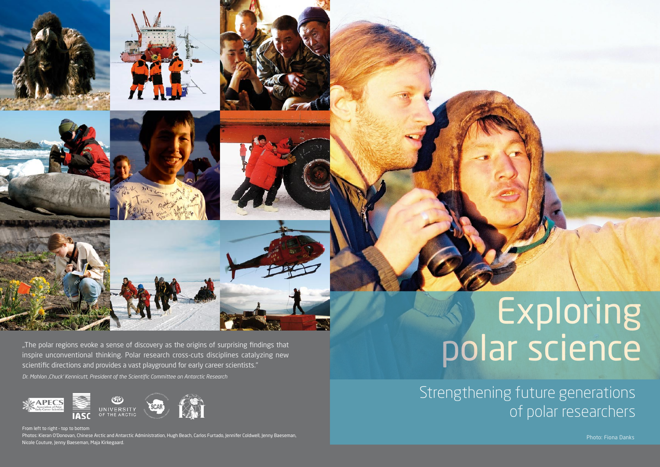"The polar regions evoke a sense of discovery as the origins of surprising findings that inspire unconventional thinking. Polar research cross-cuts disciplines catalyzing new scientific directions and provides a vast playground for early career scientists.'' *Dr. Mahlon 'Chuck' Kennicutt, President of the Scientific Committee on Antarctic Research*



From left to right – top to bottom Photos: Kieran O'Donovan, Chinese Arctic and Antarctic Administration, Hugh Beach, Carlos Furtado, Jennifer Coldwell, Jenny Baeseman, Nicole Couture, Jenny Baeseman, Maja Kirkegaard.

# Exploring polar science

Strengthening future generations of polar researchers

Photo: Fiona Danks